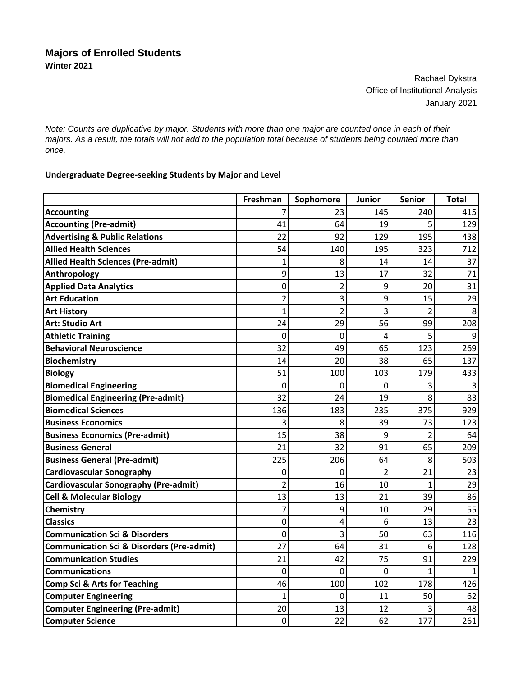Rachael Dykstra Office of Institutional Analysis January 2021

*Note: Counts are duplicative by major. Students with more than one major are counted once in each of their majors. As a result, the totals will not add to the population total because of students being counted more than once.*

## **Undergraduate Degree‐seeking Students by Major and Level**

|                                                      | Freshman       | Sophomore      | Junior         | <b>Senior</b>  | <b>Total</b> |
|------------------------------------------------------|----------------|----------------|----------------|----------------|--------------|
| <b>Accounting</b>                                    | 7              | 23             | 145            | 240            | 415          |
| <b>Accounting (Pre-admit)</b>                        | 41             | 64             | 19             | 5              | 129          |
| <b>Advertising &amp; Public Relations</b>            | 22             | 92             | 129            | 195            | 438          |
| <b>Allied Health Sciences</b>                        | 54             | 140            | 195            | 323            | 712          |
| <b>Allied Health Sciences (Pre-admit)</b>            | 1              | 8              | 14             | 14             | 37           |
| Anthropology                                         | 9              | 13             | 17             | 32             | 71           |
| <b>Applied Data Analytics</b>                        | 0              | $\overline{2}$ | 9              | 20             | 31           |
| <b>Art Education</b>                                 | 2              | 3              | 9              | 15             | 29           |
| <b>Art History</b>                                   | 1              | $\overline{2}$ | 3              | 2              | 8            |
| <b>Art: Studio Art</b>                               | 24             | 29             | 56             | 99             | 208          |
| <b>Athletic Training</b>                             | 0              | 0              | 4              | 5              | 9            |
| <b>Behavioral Neuroscience</b>                       | 32             | 49             | 65             | 123            | 269          |
| <b>Biochemistry</b>                                  | 14             | 20             | 38             | 65             | 137          |
| <b>Biology</b>                                       | 51             | 100            | 103            | 179            | 433          |
| <b>Biomedical Engineering</b>                        | $\mathbf 0$    | 0              | 0              | 3              | 3            |
| <b>Biomedical Engineering (Pre-admit)</b>            | 32             | 24             | 19             | 8              | 83           |
| <b>Biomedical Sciences</b>                           | 136            | 183            | 235            | 375            | 929          |
| <b>Business Economics</b>                            | 3              | 8              | 39             | 73             | 123          |
| <b>Business Economics (Pre-admit)</b>                | 15             | 38             | 9              | $\overline{2}$ | 64           |
| <b>Business General</b>                              | 21             | 32             | 91             | 65             | 209          |
| <b>Business General (Pre-admit)</b>                  | 225            | 206            | 64             | 8              | 503          |
| <b>Cardiovascular Sonography</b>                     | 0              | 0              | $\overline{2}$ | 21             | 23           |
| <b>Cardiovascular Sonography (Pre-admit)</b>         | $\overline{2}$ | 16             | 10             | 1              | 29           |
| <b>Cell &amp; Molecular Biology</b>                  | 13             | 13             | 21             | 39             | 86           |
| Chemistry                                            | 7              | 9              | 10             | 29             | 55           |
| <b>Classics</b>                                      | $\mathbf{0}$   | 4              | 6              | 13             | 23           |
| <b>Communication Sci &amp; Disorders</b>             | 0              | 3              | 50             | 63             | 116          |
| <b>Communication Sci &amp; Disorders (Pre-admit)</b> | 27             | 64             | 31             | 6              | 128          |
| <b>Communication Studies</b>                         | 21             | 42             | 75             | 91             | 229          |
| <b>Communications</b>                                | $\mathbf{0}$   | $\Omega$       | $\Omega$       | $\mathbf{1}$   |              |
| <b>Comp Sci &amp; Arts for Teaching</b>              | 46             | 100            | 102            | 178            | 426          |
| <b>Computer Engineering</b>                          | $\mathbf 1$    | 0              | 11             | 50             | 62           |
| <b>Computer Engineering (Pre-admit)</b>              | 20             | 13             | 12             | 3              | 48           |
| <b>Computer Science</b>                              | 0              | 22             | 62             | 177            | 261          |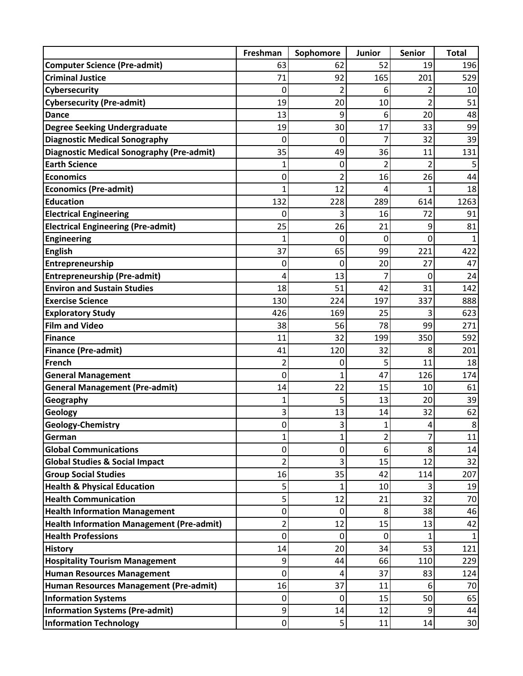|                                                  | Freshman       | Sophomore      | Junior         | <b>Senior</b>  | <b>Total</b> |
|--------------------------------------------------|----------------|----------------|----------------|----------------|--------------|
| <b>Computer Science (Pre-admit)</b>              | 63             | 62             | 52             | 19             | 196          |
| <b>Criminal Justice</b>                          | 71             | 92             | 165            | 201            | 529          |
| Cybersecurity                                    | 0              | $\overline{2}$ | 6              | 2              | 10           |
| <b>Cybersecurity (Pre-admit)</b>                 | 19             | 20             | 10             | $\overline{2}$ | 51           |
| <b>Dance</b>                                     | 13             | 9              | 6              | 20             | 48           |
| <b>Degree Seeking Undergraduate</b>              | 19             | 30             | 17             | 33             | 99           |
| <b>Diagnostic Medical Sonography</b>             | 0              | 0              |                | 32             | 39           |
| <b>Diagnostic Medical Sonography (Pre-admit)</b> | 35             | 49             | 36             | 11             | 131          |
| <b>Earth Science</b>                             | 1              | 0              | 2              | $\overline{2}$ |              |
| <b>Economics</b>                                 | 0              | 2              | 16             | 26             | 44           |
| <b>Economics (Pre-admit)</b>                     | 1              | 12             | 4              | 1              | 18           |
| <b>Education</b>                                 | 132            | 228            | 289            | 614            | 1263         |
| <b>Electrical Engineering</b>                    | 0              | 3              | 16             | 72             | 91           |
| <b>Electrical Engineering (Pre-admit)</b>        | 25             | 26             | 21             | 9              | 81           |
| <b>Engineering</b>                               | 1              | 0              | 0              | $\mathbf 0$    |              |
| <b>English</b>                                   | 37             | 65             | 99             | 221            | 422          |
| Entrepreneurship                                 | 0              | 0              | 20             | 27             | 47           |
| <b>Entrepreneurship (Pre-admit)</b>              | 4              | 13             | 7              | $\mathbf{0}$   | 24           |
| <b>Environ and Sustain Studies</b>               | 18             | 51             | 42             | 31             | 142          |
| <b>Exercise Science</b>                          | 130            | 224            | 197            | 337            | 888          |
| <b>Exploratory Study</b>                         | 426            | 169            | 25             | 3              | 623          |
| <b>Film and Video</b>                            | 38             | 56             | 78             | 99             | 271          |
| <b>Finance</b>                                   | 11             | 32             | 199            | 350            | 592          |
| <b>Finance (Pre-admit)</b>                       | 41             | 120            | 32             | 8              | 201          |
| French                                           | 2              | 0              | 5              | 11             | 18           |
| <b>General Management</b>                        | 0              | 1              | 47             | 126            | 174          |
| <b>General Management (Pre-admit)</b>            | 14             | 22             | 15             | 10             | 61           |
| Geography                                        | 1              | 5              | 13             | 20             | 39           |
| Geology                                          | 3              | 13             | 14             | 32             | 62           |
| <b>Geology-Chemistry</b>                         | 0              | 3              | 1              | 4              | 8            |
| German                                           | 1              | $\mathbf{1}$   | $\overline{2}$ | 7              | 11           |
| <b>Global Communications</b>                     | 0              | 0              | 6              | 8              | 14           |
| <b>Global Studies &amp; Social Impact</b>        | $\overline{2}$ | 3              | 15             | 12             | 32           |
| <b>Group Social Studies</b>                      | 16             | 35             | 42             | 114            | 207          |
| <b>Health &amp; Physical Education</b>           | 5              | 1              | 10             | 3              | 19           |
| <b>Health Communication</b>                      | 5              | 12             | 21             | 32             | 70           |
| <b>Health Information Management</b>             | 0              | 0              | 8              | 38             | 46           |
| <b>Health Information Management (Pre-admit)</b> | 2              | 12             | 15             | 13             | 42           |
| <b>Health Professions</b>                        | 0              | 0              | $\mathbf 0$    | 1              | 1            |
| <b>History</b>                                   | 14             | 20             | 34             | 53             | 121          |
| <b>Hospitality Tourism Management</b>            | 9              | 44             | 66             | 110            | 229          |
| <b>Human Resources Management</b>                | 0              | 4              | 37             | 83             | 124          |
| Human Resources Management (Pre-admit)           | 16             | 37             | 11             | 6              | 70           |
| <b>Information Systems</b>                       | 0              | 0              | 15             | 50             | 65           |
| <b>Information Systems (Pre-admit)</b>           | 9              | 14             | 12             | 9              | 44           |
| <b>Information Technology</b>                    | $\mathbf 0$    | 5              | 11             | 14             | $30\,$       |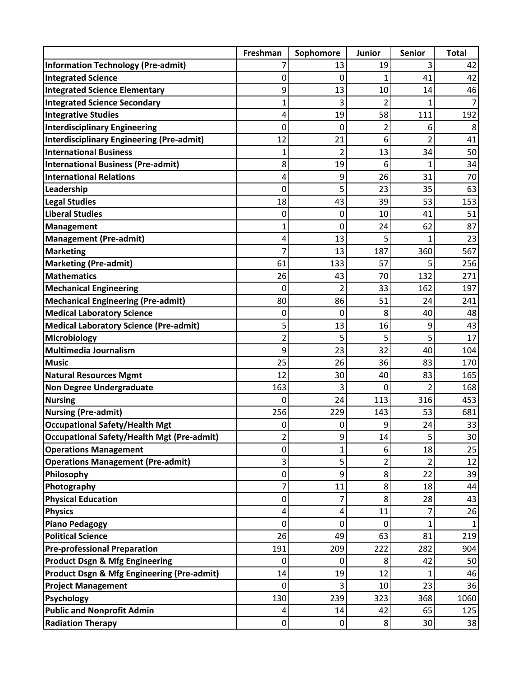|                                                       | Freshman       | Sophomore      | <b>Junior</b> | <b>Senior</b>  | <b>Total</b> |
|-------------------------------------------------------|----------------|----------------|---------------|----------------|--------------|
| <b>Information Technology (Pre-admit)</b>             |                | 13             | 19            | 3              | 42           |
| <b>Integrated Science</b>                             | 0              | 0              |               | 41             | 42           |
| <b>Integrated Science Elementary</b>                  | 9              | 13             | 10            | 14             | 46           |
| <b>Integrated Science Secondary</b>                   | 1              | 3              | 2             | 1              | 7            |
| <b>Integrative Studies</b>                            | 4              | 19             | 58            | 111            | 192          |
| <b>Interdisciplinary Engineering</b>                  | 0              | 0              | 2             | 6              | 8            |
| <b>Interdisciplinary Engineering (Pre-admit)</b>      | 12             | 21             | 6             | 2              | 41           |
| <b>International Business</b>                         | 1              | $\overline{2}$ | 13            | 34             | 50           |
| <b>International Business (Pre-admit)</b>             | 8              | 19             | 6             | $\overline{1}$ | 34           |
| <b>International Relations</b>                        | 4              | 9              | 26            | 31             | 70           |
| Leadership                                            | 0              | 5              | 23            | 35             | 63           |
| <b>Legal Studies</b>                                  | 18             | 43             | 39            | 53             | 153          |
| <b>Liberal Studies</b>                                | 0              | 0              | 10            | 41             | 51           |
| <b>Management</b>                                     | 1              | 0              | 24            | 62             | 87           |
| <b>Management (Pre-admit)</b>                         | 4              | 13             | 5             | 1              | 23           |
| <b>Marketing</b>                                      | 7              | 13             | 187           | 360            | 567          |
| <b>Marketing (Pre-admit)</b>                          | 61             | 133            | 57            | 5              | 256          |
| <b>Mathematics</b>                                    | 26             | 43             | 70            | 132            | 271          |
| <b>Mechanical Engineering</b>                         | 0              | $\mathfrak{p}$ | 33            | 162            | 197          |
| <b>Mechanical Engineering (Pre-admit)</b>             | 80             | 86             | 51            | 24             | 241          |
| <b>Medical Laboratory Science</b>                     | 0              | 0              | 8             | 40             | 48           |
| <b>Medical Laboratory Science (Pre-admit)</b>         | 5              | 13             | 16            | 9              | 43           |
| Microbiology                                          | $\overline{2}$ | 5              | 5             | 5              | 17           |
| <b>Multimedia Journalism</b>                          | 9              | 23             | 32            | 40             | 104          |
| <b>Music</b>                                          | 25             | 26             | 36            | 83             | 170          |
| <b>Natural Resources Mgmt</b>                         | 12             | 30             | 40            | 83             | 165          |
| <b>Non Degree Undergraduate</b>                       | 163            | 3              | 0             | $\overline{2}$ | 168          |
| <b>Nursing</b>                                        | 0              | 24             | 113           | 316            | 453          |
| <b>Nursing (Pre-admit)</b>                            | 256            | 229            | 143           | 53             | 681          |
| <b>Occupational Safety/Health Mgt</b>                 | 0              | 0              | 9             | 24             | 33           |
| <b>Occupational Safety/Health Mgt (Pre-admit)</b>     | 2              | 9              | 14            | 5              | 30           |
| <b>Operations Management</b>                          | 0              | $\mathbf{1}$   | 6             | 18             | 25           |
| <b>Operations Management (Pre-admit)</b>              | 3              | 5              | 2             | 2              | 12           |
| Philosophy                                            | 0              | 9              | 8             | 22             | 39           |
| Photography                                           | 7              | 11             | 8             | 18             | 44           |
| <b>Physical Education</b>                             | 0              | 7              | 8             | 28             | 43           |
| <b>Physics</b>                                        | 4              | 4              | 11            | 7              | 26           |
| <b>Piano Pedagogy</b>                                 | 0              | 0              | 0             | 1              |              |
| <b>Political Science</b>                              | 26             | 49             | 63            | 81             | 219          |
| <b>Pre-professional Preparation</b>                   | 191            | 209            | 222           | 282            | 904          |
| <b>Product Dsgn &amp; Mfg Engineering</b>             | 0              | 0              | 8             | 42             | 50           |
| <b>Product Dsgn &amp; Mfg Engineering (Pre-admit)</b> | 14             | 19             | 12            | 1              | 46           |
| <b>Project Management</b>                             | 0              | 3              | 10            | 23             | 36           |
| Psychology                                            | 130            | 239            | 323           | 368            | 1060         |
| <b>Public and Nonprofit Admin</b>                     | 4              | 14             | 42            | 65             | 125          |
| <b>Radiation Therapy</b>                              | $\mathbf 0$    | $\pmb{0}$      | 8             | 30             | 38           |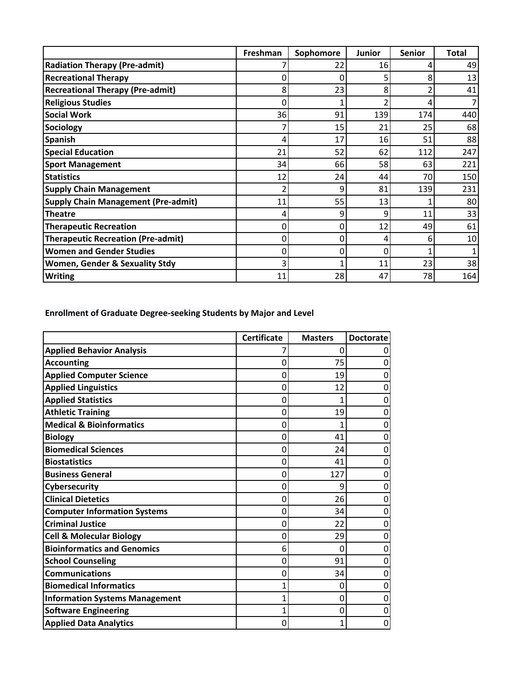|                                            | Freshman | Sophomore | <b>Junior</b> | <b>Senior</b> | <b>Total</b> |
|--------------------------------------------|----------|-----------|---------------|---------------|--------------|
| <b>Radiation Therapy (Pre-admit)</b>       |          | 22        | 16            | 4             | 49           |
| <b>Recreational Therapy</b>                |          |           |               | 8             | 13           |
| <b>Recreational Therapy (Pre-admit)</b>    | 8        | 23        | 8             |               | 41           |
| <b>Religious Studies</b>                   |          |           |               | 4             |              |
| <b>Social Work</b>                         | 36       | 91        | 139           | 174           | 440          |
| Sociology                                  |          | 15        | 21            | 25            | 68           |
| <b>Spanish</b>                             |          | 17        | 16            | 51            | 88           |
| <b>Special Education</b>                   | 21       | 52        | 62            | 112           | 247          |
| <b>Sport Management</b>                    | 34       | 66        | 58            | 63            | 221          |
| <b>Statistics</b>                          | 12       | 24        | 44            | 70            | 150          |
| <b>Supply Chain Management</b>             |          | 9         | 81            | 139           | 231          |
| <b>Supply Chain Management (Pre-admit)</b> | 11       | 55        | 13            |               | 80           |
| <b>Theatre</b>                             |          |           | q             | 11            | 33           |
| <b>Therapeutic Recreation</b>              |          |           | 12            | 49            | 61           |
| <b>Therapeutic Recreation (Pre-admit)</b>  |          |           | 4             | 6             | 10           |
| <b>Women and Gender Studies</b>            |          |           | 0             |               |              |
| Women, Gender & Sexuality Stdy             |          |           | 11            | 23            | 38           |
| <b>Writing</b>                             | 11       | 28        | 47            | 78            | 164          |

**Enrollment of Graduate Degree‐seeking Students by Major and Level**

|                                       | <b>Certificate</b> | <b>Masters</b> | <b>Doctorate</b> |
|---------------------------------------|--------------------|----------------|------------------|
| <b>Applied Behavior Analysis</b>      |                    | 0              |                  |
| <b>Accounting</b>                     | 0                  | 75             |                  |
| <b>Applied Computer Science</b>       | 0                  | 19             |                  |
| <b>Applied Linguistics</b>            | 0                  | 12             |                  |
| <b>Applied Statistics</b>             | 0                  | 1              |                  |
| <b>Athletic Training</b>              | 0                  | 19             |                  |
| <b>Medical &amp; Bioinformatics</b>   | 0                  |                |                  |
| <b>Biology</b>                        | 0                  | 41             | 0                |
| <b>Biomedical Sciences</b>            | 0                  | 24             | 0                |
| <b>Biostatistics</b>                  | 0                  | 41             | 0                |
| <b>Business General</b>               | 0                  | 127            |                  |
| Cybersecurity                         | 0                  | 9              | O                |
| <b>Clinical Dietetics</b>             | 0                  | 26             | 0                |
| <b>Computer Information Systems</b>   | 0                  | 34             | 0                |
| <b>Criminal Justice</b>               | 0                  | 22             |                  |
| <b>Cell &amp; Molecular Biology</b>   | 0                  | 29             | 0                |
| <b>Bioinformatics and Genomics</b>    | 6                  | 0              | 0                |
| <b>School Counseling</b>              | 0                  | 91             | 0                |
| <b>Communications</b>                 | 0                  | 34             | O                |
| <b>Biomedical Informatics</b>         |                    | 0              |                  |
| <b>Information Systems Management</b> | 1                  | 0              | 0                |
| <b>Software Engineering</b>           | 1                  | 0              |                  |
| <b>Applied Data Analytics</b>         | 0                  | 1              | 0                |